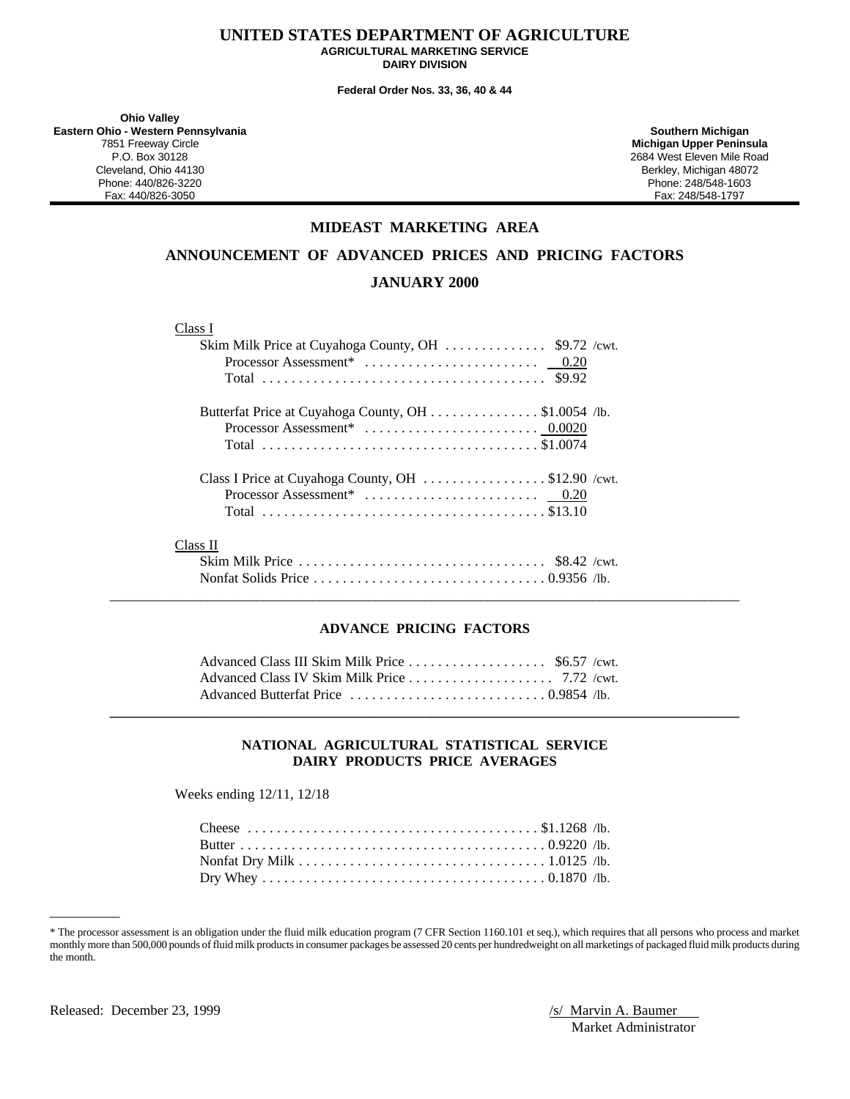### **UNITED STATES DEPARTMENT OF AGRICULTURE AGRICULTURAL MARKETING SERVICE DAIRY DIVISION**

**Federal Order Nos. 33, 36, 40 & 44**

**Ohio Valley Eastern Ohio - Western Pennsylvania Southern Michigan** P.O. Box 30128 2684 West Eleven Mile Road Cleveland, Ohio 44130 Berkley, Michigan 48072 Phone: 440/826-3220 Phone: 248/548-1603

**Michigan Upper Peninsula** Fax: 248/548-1797

### **MIDEAST MARKETING AREA**

**ANNOUNCEMENT OF ADVANCED PRICES AND PRICING FACTORS**

### **JANUARY 2000**

### Class I

| Butterfat Price at Cuyahoga County, OH \$1.0054 /lb. |  |
|------------------------------------------------------|--|
|                                                      |  |
|                                                      |  |
| Class I Price at Cuyahoga County, OH \$12.90 / cwt.  |  |
|                                                      |  |
|                                                      |  |
| Class II                                             |  |
|                                                      |  |
|                                                      |  |

### **ADVANCE PRICING FACTORS**

 $\_$  ,  $\_$  ,  $\_$  ,  $\_$  ,  $\_$  ,  $\_$  ,  $\_$  ,  $\_$  ,  $\_$  ,  $\_$  ,  $\_$  ,  $\_$  ,  $\_$  ,  $\_$  ,  $\_$  ,  $\_$  ,  $\_$  ,  $\_$  ,  $\_$  ,  $\_$  ,  $\_$  ,  $\_$  ,  $\_$  ,  $\_$  ,  $\_$  ,  $\_$  ,  $\_$  ,  $\_$  ,  $\_$  ,  $\_$  ,  $\_$  ,  $\_$  ,  $\_$  ,  $\_$  ,  $\_$  ,  $\_$  ,  $\_$  ,

### **NATIONAL AGRICULTURAL STATISTICAL SERVICE DAIRY PRODUCTS PRICE AVERAGES**

**\_\_\_\_\_\_\_\_\_\_\_\_\_\_\_\_\_\_\_\_\_\_\_\_\_\_\_\_\_\_\_\_\_\_\_\_\_\_\_\_\_\_\_\_\_\_\_\_\_\_\_\_\_\_\_\_\_\_\_\_\_\_\_\_\_\_\_\_\_\_\_\_\_\_\_\_\_\_\_\_\_\_\_\_\_\_\_\_\_\_**

Weeks ending 12/11, 12/18

<sup>\*</sup> The processor assessment is an obligation under the fluid milk education program (7 CFR Section 1160.101 et seq.), which requires that all persons who process and market monthly more than 500,000 pounds of fluid milk products in consumer packages be assessed 20 cents per hundredweight on all marketings of packaged fluid milk products during the month.

\_\_\_\_\_\_\_\_\_\_

Market Administrator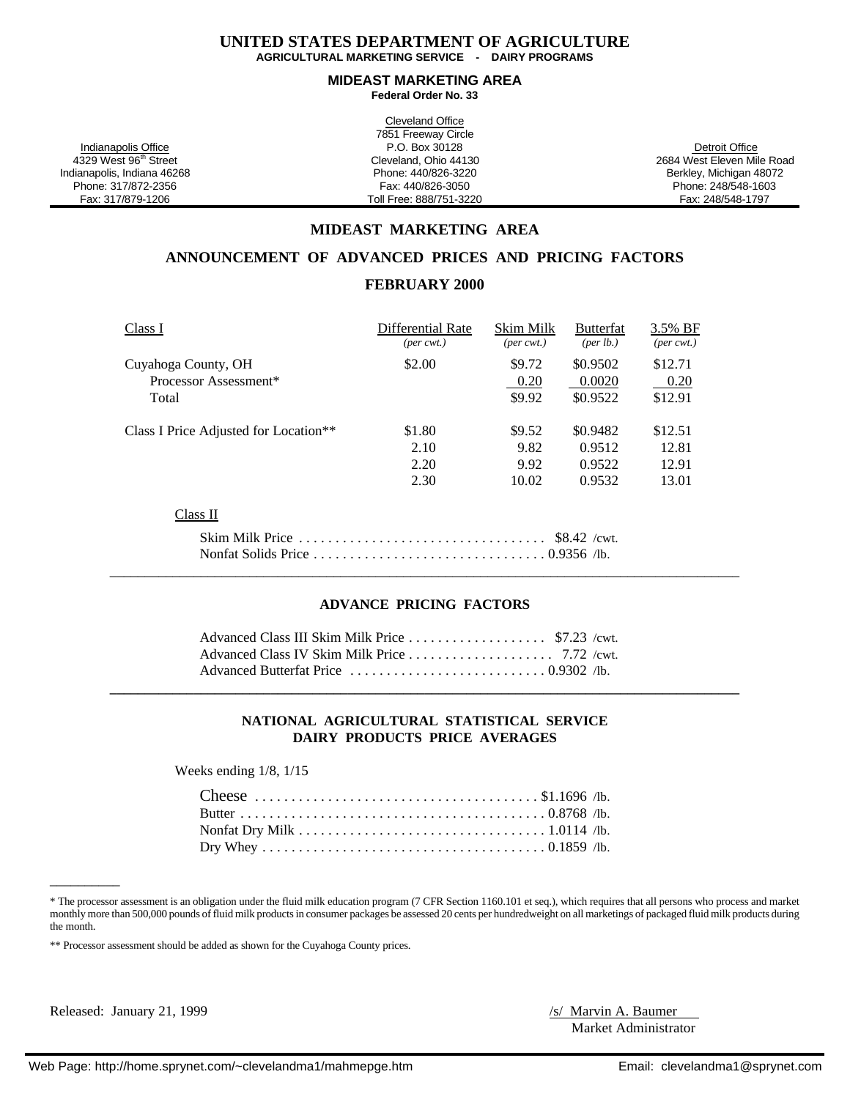### **UNITED STATES DEPARTMENT OF AGRICULTURE AGRICULTURAL MARKETING SERVICE - DAIRY PROGRAMS**

### **MIDEAST MARKETING AREA Federal Order No. 33**

|                                   | Cleveland Office        |                            |
|-----------------------------------|-------------------------|----------------------------|
|                                   | 7851 Freeway Circle     |                            |
| Indianapolis Office               | P.O. Box 30128          | Detroit Office             |
| 4329 West 96 <sup>th</sup> Street | Cleveland, Ohio 44130   | 2684 West Eleven Mile Road |
| Indianapolis, Indiana 46268       | Phone: 440/826-3220     | Berkley, Michigan 48072    |
| Phone: 317/872-2356               | Fax: 440/826-3050       | Phone: 248/548-1603        |
| Fax: 317/879-1206                 | Toll Free: 888/751-3220 | Fax: 248/548-1797          |

### **MIDEAST MARKETING AREA**

### **ANNOUNCEMENT OF ADVANCED PRICES AND PRICING FACTORS**

### **FEBRUARY 2000**

| Class I                                           | Differential Rate           | Skim Milk                   | <b>Butterfat</b>   | 3.5% BF                     |
|---------------------------------------------------|-----------------------------|-----------------------------|--------------------|-----------------------------|
|                                                   | $(\text{per} \text{ cwt.})$ | $(\text{per} \text{ cwt.})$ | $(\text{per lb.})$ | $(\text{per} \text{ cwt.})$ |
| Cuyahoga County, OH                               | \$2.00                      | \$9.72                      | \$0.9502           | \$12.71                     |
| Processor Assessment*                             |                             | 0.20                        | 0.0020             | 0.20                        |
| Total                                             |                             | \$9.92                      | \$0.9522           | \$12.91                     |
| Class I Price Adjusted for Location <sup>**</sup> | \$1.80                      | \$9.52                      | \$0.9482           | \$12.51                     |
|                                                   | 2.10                        | 9.82                        | 0.9512             | 12.81                       |
|                                                   | 2.20                        | 9.92                        | 0.9522             | 12.91                       |
|                                                   | 2.30                        | 10.02                       | 0.9532             | 13.01                       |
| Class II                                          |                             |                             |                    |                             |
|                                                   |                             |                             | $$8.42$ /cwt.      |                             |

### **ADVANCE PRICING FACTORS**

### **NATIONAL AGRICULTURAL STATISTICAL SERVICE DAIRY PRODUCTS PRICE AVERAGES**

Weeks ending 1/8, 1/15

<sup>\*</sup> The processor assessment is an obligation under the fluid milk education program (7 CFR Section 1160.101 et seq.), which requires that all persons who process and market monthly more than 500,000 pounds of fluid milk products in consumer packages be assessed 20 cents per hundredweight on all marketings of packaged fluid milk products during the month.

\*\* Processor assessment should be added as shown for the Cuyahoga County prices.

Released: January 21, 1999 /s/ Marvin A. Baumer

\_\_\_\_\_\_\_\_\_\_

Market Administrator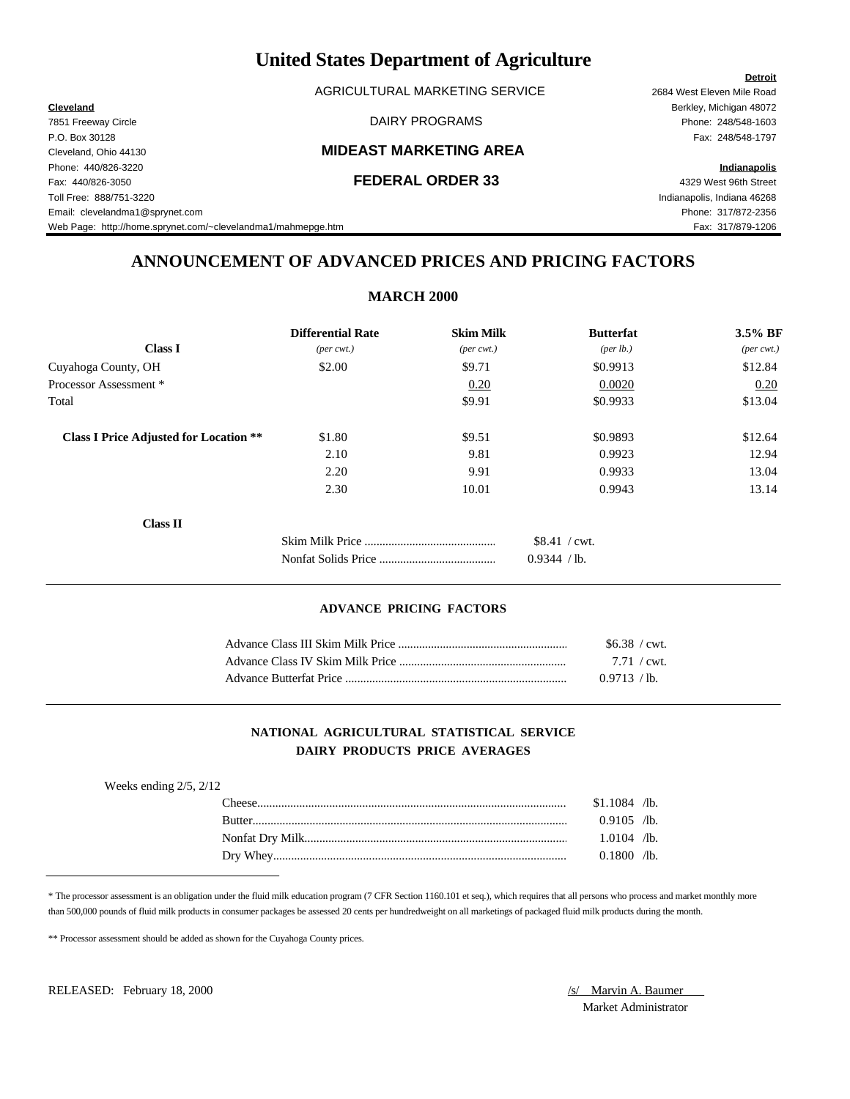AGRICULTURAL MARKETING SERVICE 2684 West Eleven Mile Road

### Cleveland, Ohio 44130 **MIDEAST MARKETING AREA**

### Fax: 440/826-3050 **FEDERAL ORDER 33** 4329 West 96th Street

Toll Free: 888/751-3220 Indianapolis, Indiana 46268 Email: clevelandma1@sprynet.com Phone: 317/872-2356 Web Page: http://home.sprynet.com/~clevelandma1/mahmepge.htm Fax: 317/879-1206

**Cleveland** Berkley, Michigan 48072 7851 Freeway Circle DAIRY PROGRAMS Phone: 248/548-1603 P.O. Box 30128 Fax: 248/548-1797

### Phone: 440/826-3220 **Indianapolis**

**Detroit**

## **ANNOUNCEMENT OF ADVANCED PRICES AND PRICING FACTORS**

|                                               | <b>Differential Rate</b>    | <b>Skim Milk</b>            | <b>Butterfat</b> | $3.5\%$ BF          |
|-----------------------------------------------|-----------------------------|-----------------------------|------------------|---------------------|
| <b>Class I</b>                                | $(\text{per} \text{ cwt.})$ | $(\text{per} \text{ cwt.})$ | (per lb.)        | $(\text{per cwt.})$ |
| Cuyahoga County, OH                           | \$2.00                      | \$9.71                      | \$0.9913         | \$12.84             |
| Processor Assessment *                        |                             | 0.20                        | 0.0020           | 0.20                |
| Total                                         |                             | \$9.91                      | \$0.9933         | \$13.04             |
| <b>Class I Price Adjusted for Location **</b> | \$1.80                      | \$9.51                      | \$0.9893         | \$12.64             |
|                                               | 2.10                        | 9.81                        | 0.9923           | 12.94               |
|                                               | 2.20                        | 9.91                        | 0.9933           | 13.04               |
|                                               | 2.30                        | 10.01                       | 0.9943           | 13.14               |
| <b>Class II</b>                               |                             |                             |                  |                     |
|                                               |                             |                             | \$8.41 / cwt.    |                     |
|                                               |                             |                             | 0.9344 / lb.     |                     |

### **ADVANCE PRICING FACTORS**

|                         | $$6.38$ / cwt.        |
|-------------------------|-----------------------|
|                         | $7.71 / \text{cwt}$ . |
| Advance Butterfat Price | $0.9713 / h$ .        |

### **NATIONAL AGRICULTURAL STATISTICAL SERVICE DAIRY PRODUCTS PRICE AVERAGES**

| Weeks ending $2/5$ , $2/12$ |               |                |  |
|-----------------------------|---------------|----------------|--|
|                             | <b>Theese</b> | $$1.1084$ /lb. |  |
|                             | Rutter        | $0.9105$ /lb.  |  |
|                             |               | $1.0104$ /lb.  |  |
|                             |               | 0.1800 /lb.    |  |

\* The processor assessment is an obligation under the fluid milk education program (7 CFR Section 1160.101 et seq.), which requires that all persons who process and market monthly more than 500,000 pounds of fluid milk products in consumer packages be assessed 20 cents per hundredweight on all marketings of packaged fluid milk products during the month.

\*\* Processor assessment should be added as shown for the Cuyahoga County prices.

RELEASED: February 18, 2000 **/s/** Marvin A. Baumer

Market Administrator

### **MARCH 2000**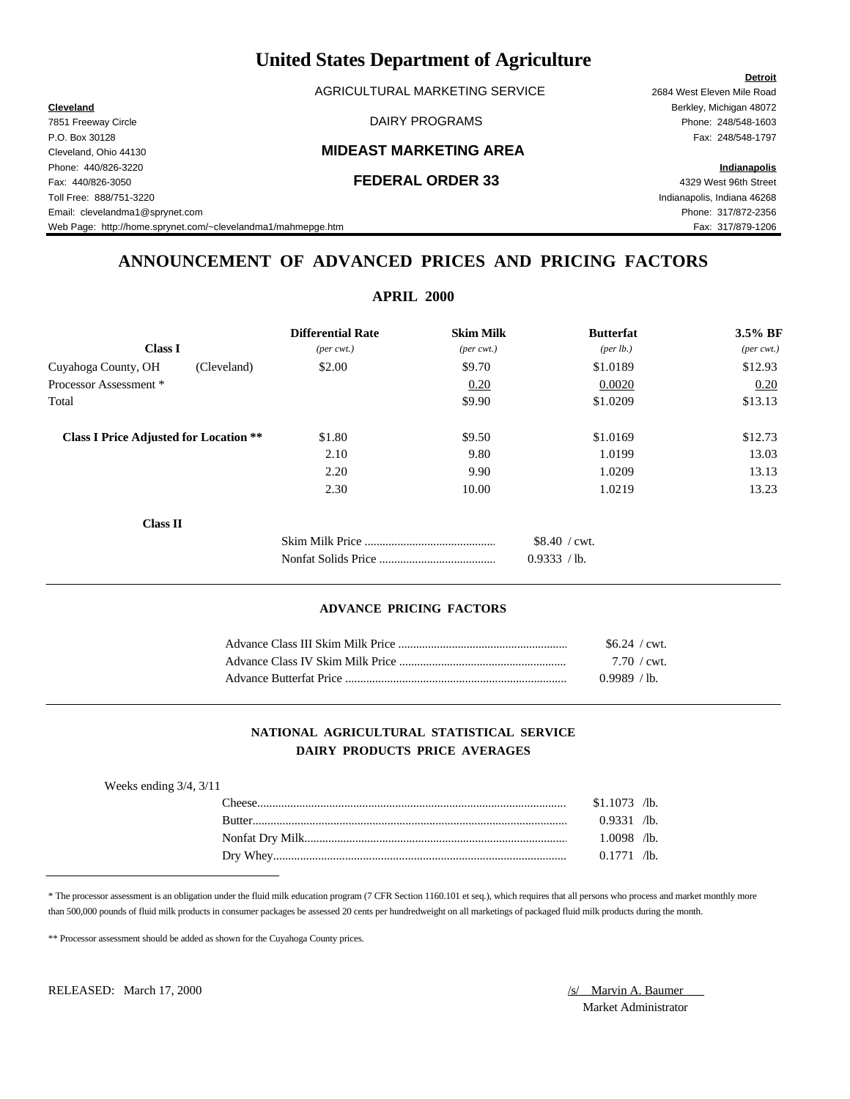AGRICULTURAL MARKETING SERVICE 2684 West Eleven Mile Road

### Cleveland, Ohio 44130 **MIDEAST MARKETING AREA**

Fax: 440/826-3050 **FEDERAL ORDER 33** 4329 West 96th Street Toll Free: 888/751-3220 Indianapolis, Indiana 46268 Email: clevelandma1@sprynet.com Phone: 317/872-2356 Web Page: http://home.sprynet.com/~clevelandma1/mahmepge.htm Fax: 317/879-1206

**Cleveland** Berkley, Michigan 48072 7851 Freeway Circle DAIRY PROGRAMS Phone: 248/548-1603 P.O. Box 30128 Fax: 248/548-1797

Phone: 440/826-3220 **Indianapolis**

**Detroit**

# **ANNOUNCEMENT OF ADVANCED PRICES AND PRICING FACTORS**

|                                               |             | <b>Differential Rate</b>    | <b>Skim Milk</b>            | <b>Butterfat</b>               | 3.5% BF                     |
|-----------------------------------------------|-------------|-----------------------------|-----------------------------|--------------------------------|-----------------------------|
| <b>Class I</b>                                |             | $(\text{per} \text{ cwt.})$ | $(\text{per} \text{ cwt.})$ | ${\rm (per \, lb.)}$           | $(\text{per} \text{ cwt.})$ |
| Cuyahoga County, OH                           | (Cleveland) | \$2.00                      | \$9.70                      | \$1.0189                       | \$12.93                     |
| Processor Assessment *                        |             |                             | 0.20                        | 0.0020                         | 0.20                        |
| Total                                         |             |                             | \$9.90                      | \$1.0209                       | \$13.13                     |
| <b>Class I Price Adjusted for Location **</b> |             | \$1.80                      | \$9.50                      | \$1.0169                       | \$12.73                     |
|                                               |             | 2.10                        | 9.80                        | 1.0199                         | 13.03                       |
|                                               |             | 2.20                        | 9.90                        | 1.0209                         | 13.13                       |
|                                               |             | 2.30                        | 10.00                       | 1.0219                         | 13.23                       |
| <b>Class II</b>                               |             |                             |                             |                                |                             |
|                                               |             |                             |                             | $$8.40$ / cwt.<br>0.9333 / lb. |                             |

### **ADVANCE PRICING FACTORS**

| $$6.24$ / cwt.        |
|-----------------------|
| $7.70 / \text{cwt}$ . |
| 0.9989 / lb.          |

### **NATIONAL AGRICULTURAL STATISTICAL SERVICE DAIRY PRODUCTS PRICE AVERAGES**

| Weeks ending $3/4$ , $3/11$ |        |                |  |
|-----------------------------|--------|----------------|--|
|                             | heese. | $$1.1073$ /lb. |  |
|                             | Rutter | $0.9331$ /lb.  |  |
|                             |        | $1.0098$ /lb.  |  |
|                             |        | 0.1771 /lb.    |  |

\* The processor assessment is an obligation under the fluid milk education program (7 CFR Section 1160.101 et seq.), which requires that all persons who process and market monthly more than 500,000 pounds of fluid milk products in consumer packages be assessed 20 cents per hundredweight on all marketings of packaged fluid milk products during the month.

\*\* Processor assessment should be added as shown for the Cuyahoga County prices.

RELEASED: March 17, 2000 **/s/** Marvin A. Baumer

Market Administrator

### **APRIL 2000**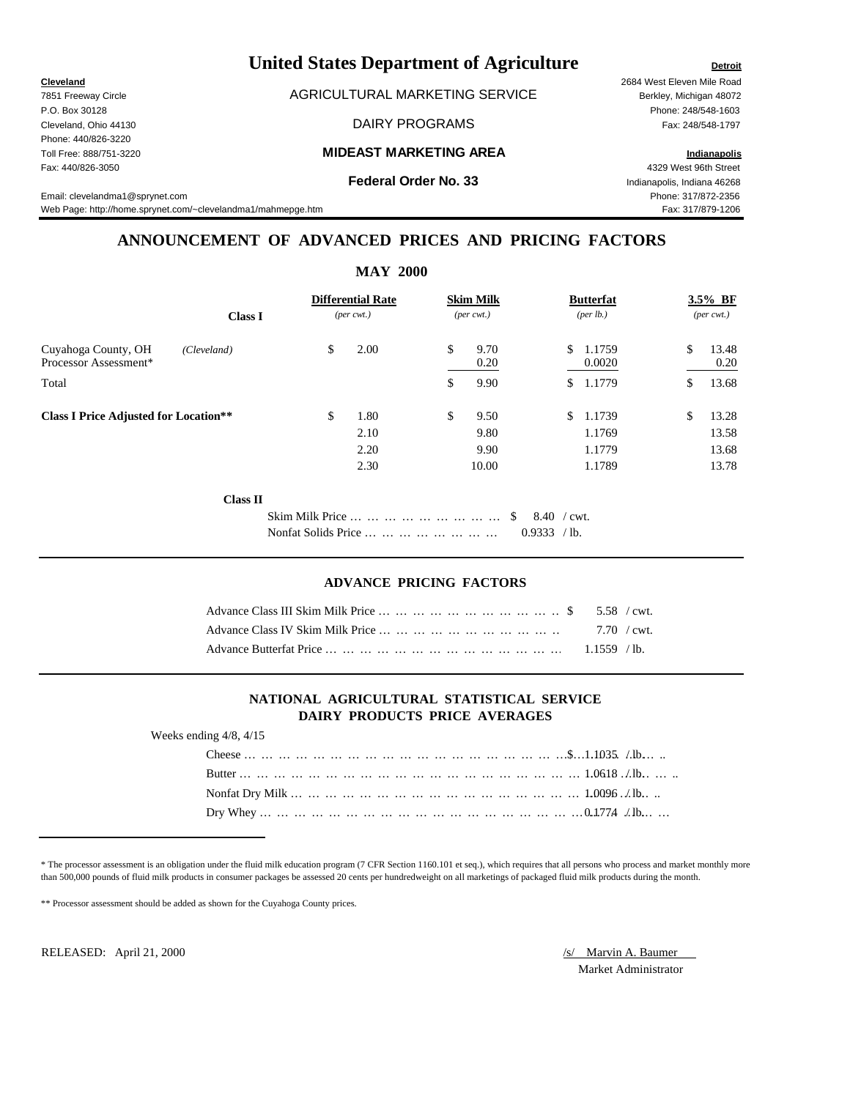# **United States Department of Agriculture Detroit Detroit**

7851 Freeway Circle **AGRICULTURAL MARKETING SERVICE** Berkley, Michigan 48072

Cleveland, Ohio 44130 DAIRY PROGRAMS Fax: 248/548-1797

### Toll Free: 888/751-3220 **MIDEAST MARKETING AREA Indianapolis**

Web Page: http://home.sprynet.com/~clevelandma1/mahmepge.htm Fax: 317/879-1206

## **ANNOUNCEMENT OF ADVANCED PRICES AND PRICING FACTORS**

|                                              |                 |                                        | <b>MAY 2000</b>                            |                                     |                               |                                      |                                        |
|----------------------------------------------|-----------------|----------------------------------------|--------------------------------------------|-------------------------------------|-------------------------------|--------------------------------------|----------------------------------------|
|                                              | <b>Class I</b>  |                                        | <b>Differential Rate</b><br>$(per\,$ cwt.) | <b>Skim Milk</b><br>$(per\,$ cwt.)  |                               | <b>Butterfat</b><br>(per lb.)        | 3.5% BF<br>$(\text{per} \text{ cwt.})$ |
| Cuyahoga County, OH<br>Processor Assessment* | (Cleveland)     | \$                                     | 2.00                                       | \$<br>9.70<br>0.20                  | \$                            | 1.1759<br>0.0020                     | \$<br>13.48<br>0.20                    |
| Total                                        |                 |                                        |                                            | \$<br>9.90                          | S.                            | 1.1779                               | \$<br>13.68                            |
| <b>Class I Price Adjusted for Location**</b> |                 | \$                                     | 1.80<br>2.10<br>2.20<br>2.30               | \$<br>9.50<br>9.80<br>9.90<br>10.00 | \$                            | 1.1739<br>1.1769<br>1.1779<br>1.1789 | \$<br>13.28<br>13.58<br>13.68<br>13.78 |
|                                              | <b>Class II</b> |                                        |                                            |                                     |                               |                                      |                                        |
|                                              |                 | Skim Milk Price<br>Nonfat Solids Price |                                            | <sup>S</sup>                        | $8.40$ / cwt.<br>0.9333 / lb. |                                      |                                        |

### **ADVANCE PRICING FACTORS**

### **NATIONAL AGRICULTURAL STATISTICAL SERVICE DAIRY PRODUCTS PRICE AVERAGES**

Weeks ending 4/8, 4/15

\* The processor assessment is an obligation under the fluid milk education program (7 CFR Section 1160.101 et seq.), which requires that all persons who process and market monthly more than 500,000 pounds of fluid milk products in consumer packages be assessed 20 cents per hundredweight on all marketings of packaged fluid milk products during the month.

\*\* Processor assessment should be added as shown for the Cuyahoga County prices.

RELEASED: April 21, 2000 /s/ Marvin A. Baumer

Market Administrator

P.O. Box 30128 Phone: 248/548-1603

Fax: 440/826-3050 4329 West 96th Street<br>Indianapolis. Indiana 46268 And the street of the street of the street of the street of the street of the street **Federal Order No. 33** Indianapolis, Indiana 46268 Email: clevelandma1@sprynet.com Phone: 317/872-2356

**Cleveland** 2684 West Eleven Mile Road Phone: 440/826-3220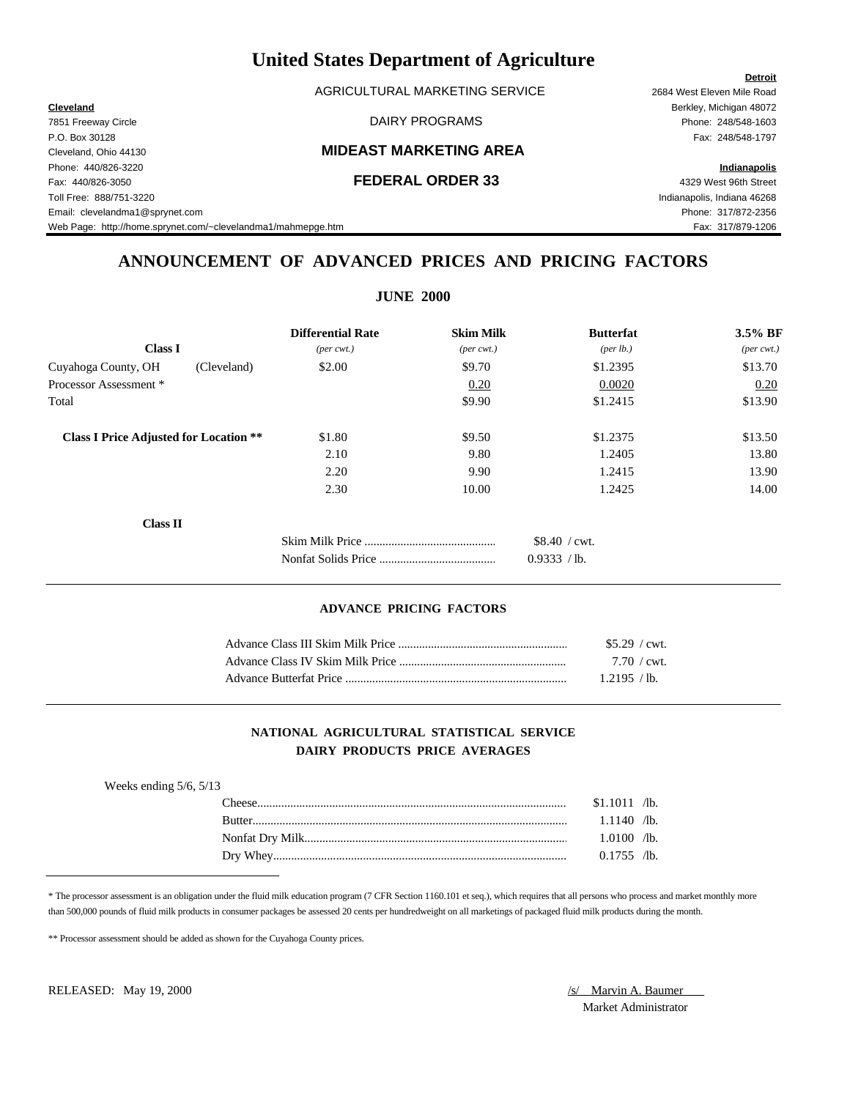AGRICULTURAL MARKETING SERVICE 2684 West Eleven Mile Road

### Cleveland, Ohio 44130 **MIDEAST MARKETING AREA**

Fax: 440/826-3050 **FEDERAL ORDER 33** 4329 West 96th Street Toll Free: 888/751-3220 Indianapolis, Indiana 46268 Email: clevelandma1@sprynet.com Phone: 317/872-2356 Web Page: http://home.sprynet.com/~clevelandma1/mahmepge.htm Fax: 317/879-1206

**Detroit Cleveland** Berkley, Michigan 48072 7851 Freeway Circle DAIRY PROGRAMS Phone: 248/548-1603 P.O. Box 30128 Fax: 248/548-1797

Phone: 440/826-3220 **Indianapolis**

# **ANNOUNCEMENT OF ADVANCED PRICES AND PRICING FACTORS**

| <b>Differential Rate</b>    | <b>Skim Milk</b>                                             | <b>Butterfat</b>              | 3.5% BF                     |
|-----------------------------|--------------------------------------------------------------|-------------------------------|-----------------------------|
| $(\text{per} \text{ cwt.})$ | $(\text{per} \text{ cwt.})$                                  | ${\rm (per \, lb.)}$          | $(\text{per} \text{ cwt.})$ |
| \$2.00                      | \$9.70                                                       | \$1.2395                      | \$13.70                     |
|                             | 0.20                                                         | 0.0020                        | 0.20                        |
|                             | \$9.90                                                       | \$1.2415                      | \$13.90                     |
| \$1.80                      | \$9.50                                                       | \$1.2375                      | \$13.50                     |
| 2.10                        | 9.80                                                         | 1.2405                        | 13.80                       |
| 2.20                        | 9.90                                                         | 1.2415                        | 13.90                       |
| 2.30                        | 10.00                                                        | 1.2425                        | 14.00                       |
|                             |                                                              |                               |                             |
|                             |                                                              | \$8.40 / cwt.<br>0.9333 / lb. |                             |
|                             | (Cleveland)<br><b>Class I Price Adjusted for Location **</b> |                               |                             |

### **ADVANCE PRICING FACTORS**

| $$5.29$ / cwt.        |
|-----------------------|
| $7.70 / \text{cwt}$ . |
| 1.2195 / lb.          |

### **NATIONAL AGRICULTURAL STATISTICAL SERVICE DAIRY PRODUCTS PRICE AVERAGES**

| Weeks ending $5/6$ , $5/13$ |        |                |  |
|-----------------------------|--------|----------------|--|
|                             | heese. | $$1.1011$ /lb. |  |
|                             | Rutter | $1.1140$ /lb.  |  |
|                             |        | $1.0100$ /lb.  |  |
|                             |        | $0.1755$ /lb.  |  |

\* The processor assessment is an obligation under the fluid milk education program (7 CFR Section 1160.101 et seq.), which requires that all persons who process and market monthly more than 500,000 pounds of fluid milk products in consumer packages be assessed 20 cents per hundredweight on all marketings of packaged fluid milk products during the month.

\*\* Processor assessment should be added as shown for the Cuyahoga County prices.

RELEASED: May 19, 2000 *S/ Marvin A. Baumer* 

Market Administrator

## **JUNE 2000**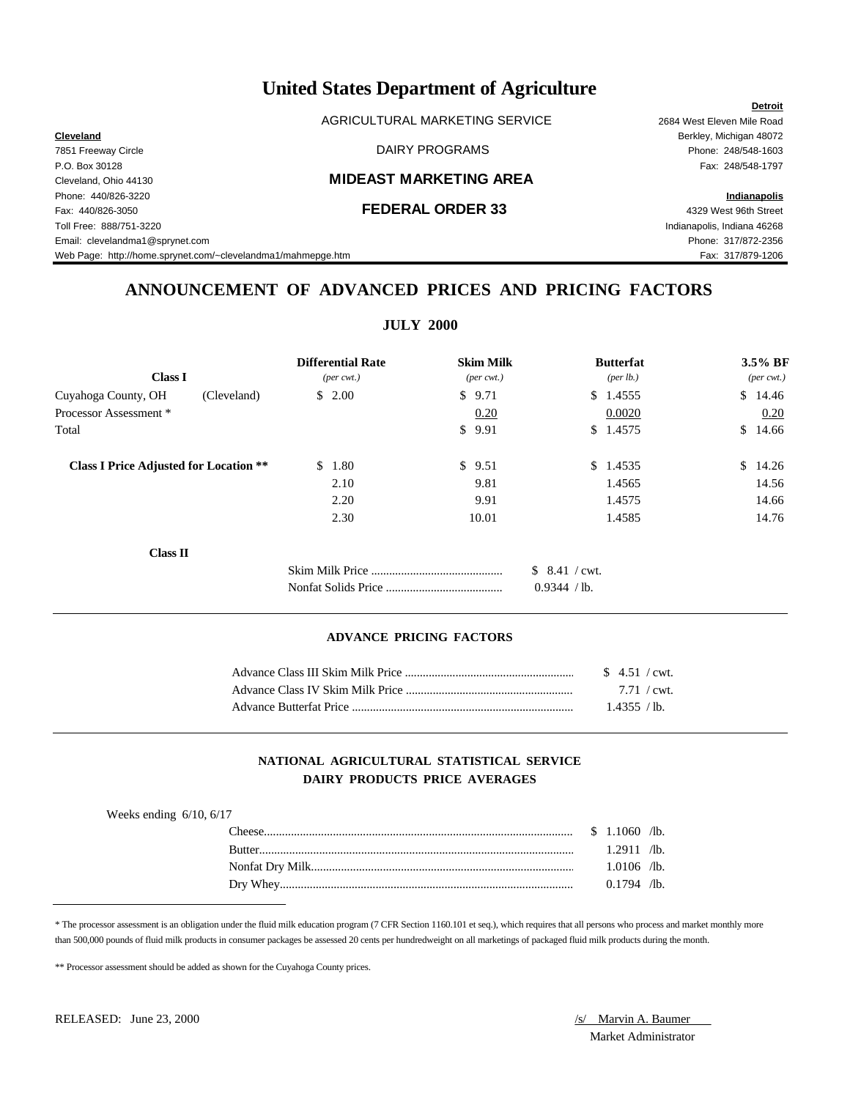AGRICULTURAL MARKETING SERVICE 2684 West Eleven Mile Road

Toll Free: 888/751-3220 Indianapolis, Indiana 46268 Email: clevelandma1@sprynet.com Phone: 317/872-2356

**Detroit Cleveland** Berkley, Michigan 48072 7851 Freeway Circle DAIRY PROGRAMS Phone: 248/548-1603

# **ANNOUNCEMENT OF ADVANCED PRICES AND PRICING FACTORS**

**JULY 2000**

|                                               | <b>Differential Rate</b>    | <b>Skim Milk</b>    | <b>Butterfat</b>               | $3.5\%$ BF                  |
|-----------------------------------------------|-----------------------------|---------------------|--------------------------------|-----------------------------|
| <b>Class I</b>                                | $(\text{per} \text{ cwt.})$ | $(\text{per cwt.})$ | (per lb.)                      | $(\text{per} \text{ cwt.})$ |
| Cuyahoga County, OH<br>(Cleveland)            | \$2.00                      | \$9.71              | \$1.4555                       | \$14.46                     |
| Processor Assessment *                        |                             | 0.20                | 0.0020                         | 0.20                        |
| Total                                         |                             | \$<br>9.91          | \$1.4575                       | S.<br>14.66                 |
| <b>Class I Price Adjusted for Location **</b> | 1.80<br><sup>\$</sup>       | \$9.51              | \$1.4535                       | $\mathbb{S}^-$<br>14.26     |
|                                               | 2.10                        | 9.81                | 1.4565                         | 14.56                       |
|                                               | 2.20                        | 9.91                | 1.4575                         | 14.66                       |
|                                               | 2.30                        | 10.01               | 1.4585                         | 14.76                       |
| <b>Class II</b>                               |                             |                     |                                |                             |
|                                               |                             |                     | $$8.41$ / cwt.<br>0.9344 / lb. |                             |

### **ADVANCE PRICING FACTORS**

| $$4.51$ / cwt.        |
|-----------------------|
| $7.71 / \text{cwt}$ . |
| 1.4355 / h.           |

### **NATIONAL AGRICULTURAL STATISTICAL SERVICE DAIRY PRODUCTS PRICE AVERAGES**

| Weeks ending $6/10$ , $6/17$     |               |  |
|----------------------------------|---------------|--|
| $\ldots$ \$ 1.1060 /b.<br>`heese |               |  |
|                                  | $1.2911$ /lb. |  |
|                                  | $1.0106$ /lb. |  |
|                                  | $0.1794$ /lb. |  |

\* The processor assessment is an obligation under the fluid milk education program (7 CFR Section 1160.101 et seq.), which requires that all persons who process and market monthly more than 500,000 pounds of fluid milk products in consumer packages be assessed 20 cents per hundredweight on all marketings of packaged fluid milk products during the month.

\*\* Processor assessment should be added as shown for the Cuyahoga County prices.

Market Administrator

P.O. Box 30128 Fax: 248/548-1797 Cleveland, Ohio 44130 **MIDEAST MARKETING AREA** Phone: 440/826-3220 **Indianapolis** Fax: 440/826-3050 **FEDERAL ORDER 33** 4329 West 96th Street

Web Page: http://home.sprynet.com/~clevelandma1/mahmepge.htm Fax: 317/879-1206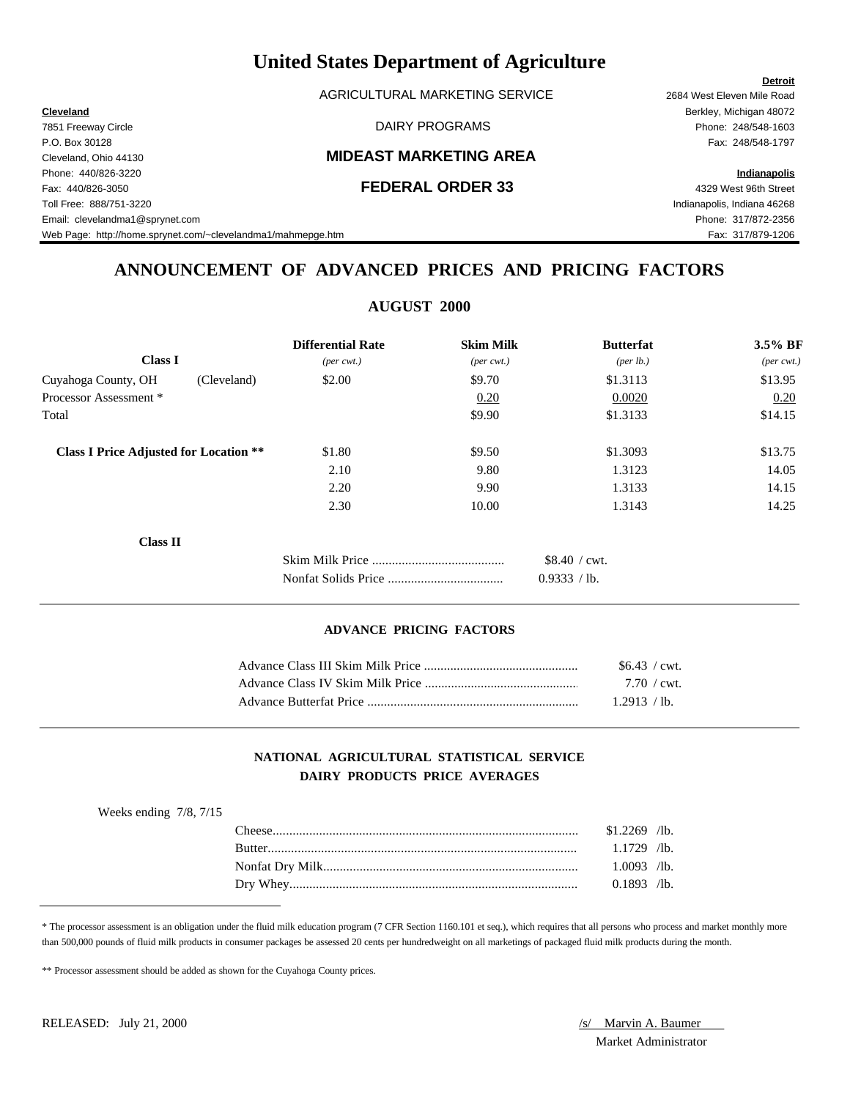|                                                              | Ullittu biatts Department of Agriculture |                             |
|--------------------------------------------------------------|------------------------------------------|-----------------------------|
|                                                              |                                          | <b>Detroit</b>              |
|                                                              | AGRICULTURAL MARKETING SERVICE           | 2684 West Eleven Mile Road  |
| <b>Cleveland</b>                                             |                                          | Berkley, Michigan 48072     |
| 7851 Freeway Circle                                          | DAIRY PROGRAMS                           | Phone: 248/548-1603         |
| P.O. Box 30128                                               |                                          | Fax: 248/548-1797           |
| Cleveland, Ohio 44130                                        | <b>MIDEAST MARKETING AREA</b>            |                             |
| Phone: 440/826-3220                                          |                                          | Indianapolis                |
| Fax: 440/826-3050                                            | <b>FEDERAL ORDER 33</b>                  | 4329 West 96th Street       |
| Toll Free: 888/751-3220                                      |                                          | Indianapolis, Indiana 46268 |
| Email: clevelandma1@sprynet.com                              |                                          | Phone: 317/872-2356         |
| Web Page: http://home.sprynet.com/~clevelandma1/mahmepge.htm |                                          | Fax: 317/879-1206           |

# **ANNOUNCEMENT OF ADVANCED PRICES AND PRICING FACTORS**

| <b>AUGUST 2000</b>          |                             |                       |                |  |
|-----------------------------|-----------------------------|-----------------------|----------------|--|
| <b>Differential Rate</b>    | <b>Skim Milk</b>            | <b>Butterfat</b>      | 3.5% BF        |  |
| $(\text{per} \text{ cwt.})$ | $(\text{per} \text{ cwt.})$ | (per lb.)             | $(per\,$ cwt.) |  |
| \$2.00                      | \$9.70                      | \$1.3113              | \$13.95        |  |
|                             | 0.20                        | 0.0020                | 0.20           |  |
|                             | \$9.90                      | \$1.3133              | \$14.15        |  |
| \$1.80                      | \$9.50                      | \$1.3093              | \$13.75        |  |
| 2.10                        | 9.80                        | 1.3123                | 14.05          |  |
| 2.20                        | 9.90                        | 1.3133                | 14.15          |  |
| 2.30                        | 10.00                       | 1.3143                | 14.25          |  |
|                             |                             |                       |                |  |
|                             |                             | $$8.40 / \text{cwt}.$ |                |  |
|                             |                             | 0.9333 / lb.          |                |  |
|                             |                             |                       |                |  |

### **ADVANCE PRICING FACTORS**

| $$6.43$ / cwt.        |  |
|-----------------------|--|
| $7.70 / \text{cwt}$ . |  |
| 1.2913 / lb.          |  |

### **NATIONAL AGRICULTURAL STATISTICAL SERVICE DAIRY PRODUCTS PRICE AVERAGES**

| $$1.2269$ /lb.<br>l `heese :<br>$1.1729$ /lb.<br><b>Butter</b><br>$1.0093$ /lb.<br>$0.1893$ /lb. | Weeks ending $7/8$ , $7/15$ |  |  |
|--------------------------------------------------------------------------------------------------|-----------------------------|--|--|
|                                                                                                  |                             |  |  |
|                                                                                                  |                             |  |  |
|                                                                                                  |                             |  |  |
|                                                                                                  |                             |  |  |

\* The processor assessment is an obligation under the fluid milk education program (7 CFR Section 1160.101 et seq.), which requires that all persons who process and market monthly more than 500,000 pounds of fluid milk products in consumer packages be assessed 20 cents per hundredweight on all marketings of packaged fluid milk products during the month.

\*\* Processor assessment should be added as shown for the Cuyahoga County prices.

Market Administrator

# **United States Department of Agriculture**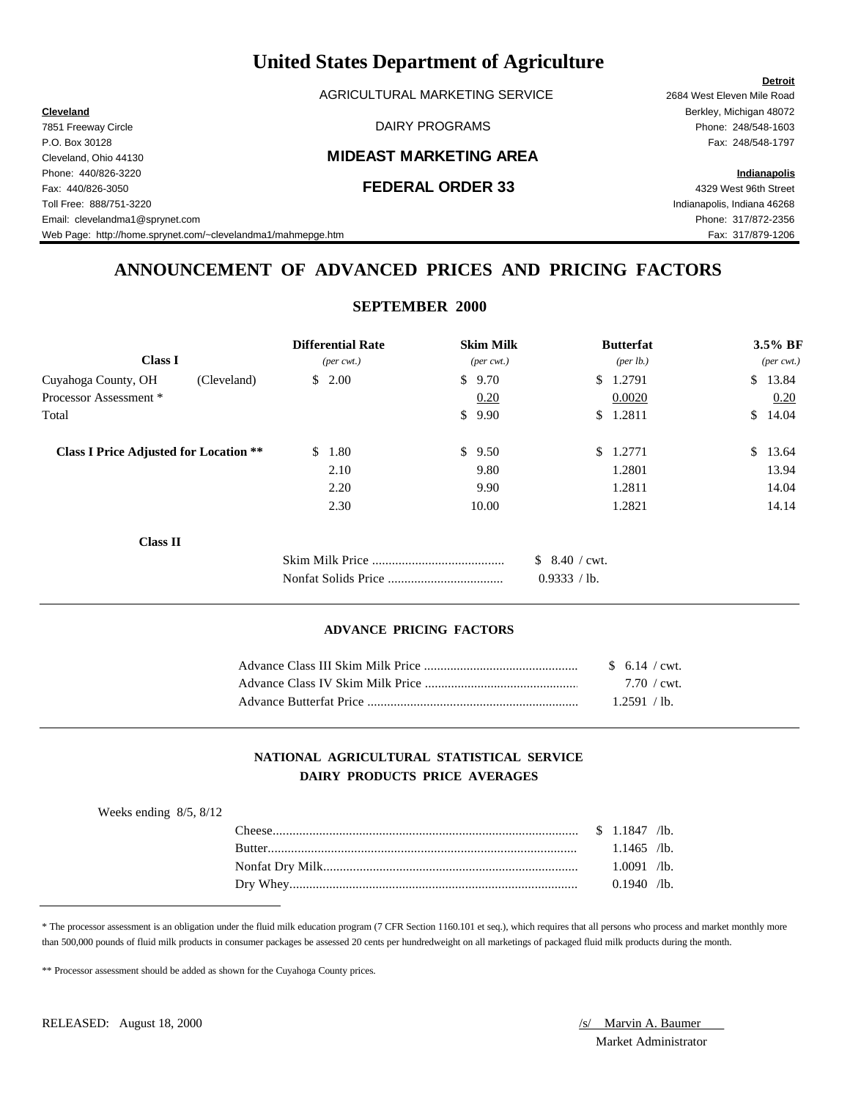AGRICULTURAL MARKETING SERVICE 2684 West Eleven Mile Road

### Cleveland, Ohio 44130 **MIDEAST MARKETING AREA**

Fax: 440/826-3050 **FEDERAL ORDER 33** 4329 West 96th Street Toll Free: 888/751-3220 Indianapolis, Indiana 46268 Email: clevelandma1@sprynet.com Phone: 317/872-2356 Web Page: http://home.sprynet.com/~clevelandma1/mahmepge.htm Fax: 317/879-1206

**Cleveland** Berkley, Michigan 48072 The The Sample of the Case of the DAIRY PROGRAMS The Phone: 248/548-1603 P.O. Box 30128 Fax: 248/548-1797

Phone: 440/826-3220 **Indianapolis**

# **ANNOUNCEMENT OF ADVANCED PRICES AND PRICING FACTORS**

**SEPTEMBER 2000**

|                                               | <b>Differential Rate</b>    | <b>Skim Milk</b>            |                | <b>Butterfat</b>   | $3.5\%$ BF                  |
|-----------------------------------------------|-----------------------------|-----------------------------|----------------|--------------------|-----------------------------|
| <b>Class I</b>                                | $(\text{per} \text{ cwt.})$ | $(\text{per} \text{ cwt.})$ |                | $(\text{per lb.})$ | $(\text{per} \text{ cwt.})$ |
| Cuyahoga County, OH<br>(Cleveland)            | 2.00<br>\$                  | \$9.70                      |                | \$1.2791           | \$13.84                     |
| Processor Assessment *                        |                             | 0.20                        |                | 0.0020             | 0.20                        |
| Total                                         |                             | \$9.90                      |                | \$1.2811           | \$14.04                     |
| <b>Class I Price Adjusted for Location **</b> | \$<br>1.80                  | \$9.50                      |                | \$1.2771           | \$13.64                     |
|                                               | 2.10                        | 9.80                        |                | 1.2801             | 13.94                       |
|                                               | 2.20                        | 9.90                        |                | 1.2811             | 14.04                       |
|                                               | 2.30                        | 10.00                       |                | 1.2821             | 14.14                       |
| <b>Class II</b>                               |                             |                             |                |                    |                             |
|                                               |                             |                             | $$8.40$ / cwt. |                    |                             |
|                                               |                             |                             | 0.9333 / lb.   |                    |                             |

### **ADVANCE PRICING FACTORS**

| $$6.14$ / cwt.        |  |
|-----------------------|--|
| $7.70 / \text{cwt}$ . |  |
| 1.2591 / lb.          |  |

### **NATIONAL AGRICULTURAL STATISTICAL SERVICE DAIRY PRODUCTS PRICE AVERAGES**

| Weeks ending $8/5$ , $8/12$ |               |               |  |
|-----------------------------|---------------|---------------|--|
|                             | l `heese :    |               |  |
|                             | <b>Rutter</b> | $1.1465$ /lb. |  |
|                             |               | $1.0091$ /lb. |  |
|                             |               | $0.1940$ /lb. |  |

\* The processor assessment is an obligation under the fluid milk education program (7 CFR Section 1160.101 et seq.), which requires that all persons who process and market monthly more than 500,000 pounds of fluid milk products in consumer packages be assessed 20 cents per hundredweight on all marketings of packaged fluid milk products during the month.

\*\* Processor assessment should be added as shown for the Cuyahoga County prices.

Market Administrator

### **Detroit**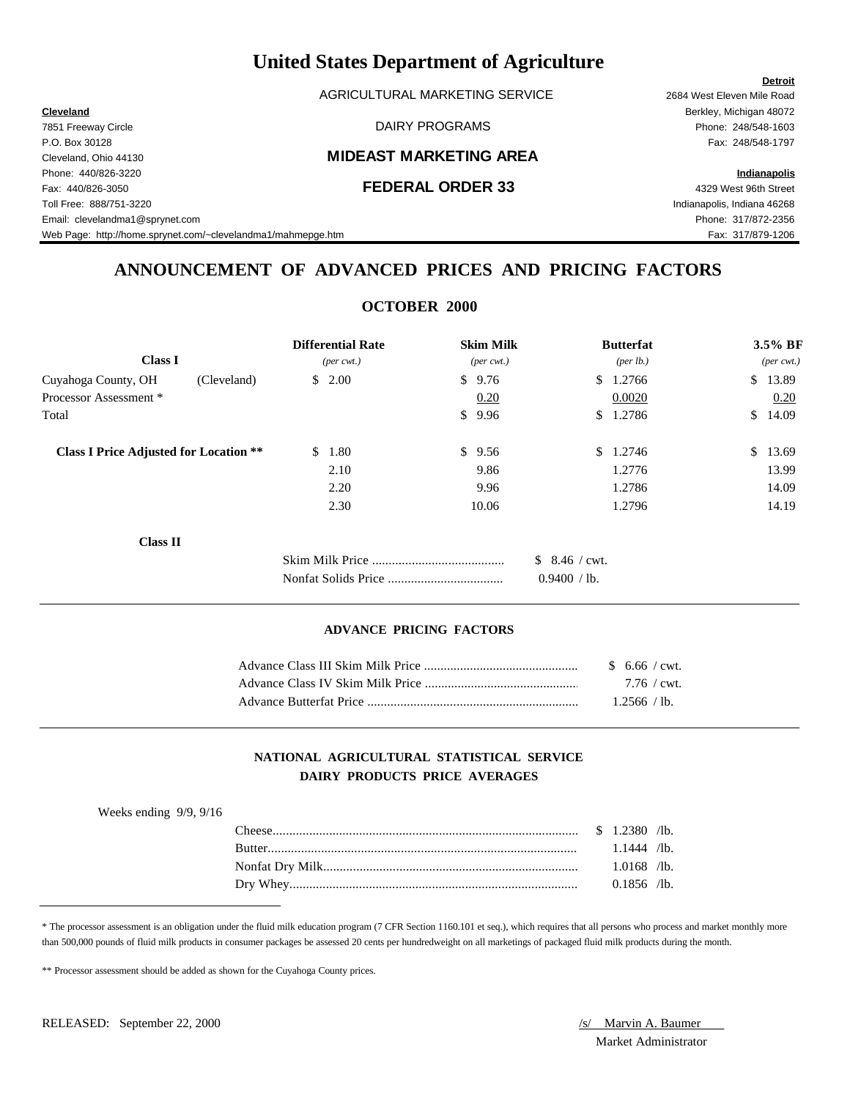AGRICULTURAL MARKETING SERVICE 2684 West Eleven Mile Road

### Cleveland, Ohio 44130 **MIDEAST MARKETING AREA**

Fax: 440/826-3050 **FEDERAL ORDER 33** 4329 West 96th Street Toll Free: 888/751-3220 Indianapolis, Indiana 46268 Email: clevelandma1@sprynet.com Phone: 317/872-2356 Web Page: http://home.sprynet.com/~clevelandma1/mahmepge.htm Fax: 317/879-1206

**Cleveland** Berkley, Michigan 48072 The The Sample of the Case of the DAIRY PROGRAMS The Phone: 248/548-1603 P.O. Box 30128 Fax: 248/548-1797

Phone: 440/826-3220 **Indianapolis**

# **ANNOUNCEMENT OF ADVANCED PRICES AND PRICING FACTORS**

**OCTOBER 2000**

|                                               | <b>Differential Rate</b>     | <b>Skim Milk</b>            | <b>Butterfat</b>     | 3.5% BF                     |
|-----------------------------------------------|------------------------------|-----------------------------|----------------------|-----------------------------|
| <b>Class I</b>                                | $(\text{per} \ \text{cvt.})$ | $(\text{per} \text{ cwt.})$ | ${\rm (per \, lb.)}$ | $(\text{per} \text{ cwt.})$ |
| Cuyahoga County, OH<br>(Cleveland)            | \$2.00                       | \$<br>9.76                  | 1.2766<br>\$         | $\mathbb{S}$<br>13.89       |
| Processor Assessment *                        |                              | 0.20                        | 0.0020               | 0.20                        |
| Total                                         |                              | \$<br>9.96                  | 1.2786<br>\$         | 14.09<br><sup>S</sup>       |
| <b>Class I Price Adjusted for Location **</b> | $\mathbb{S}^-$<br>1.80       | \$<br>9.56                  | 1.2746<br>\$         | $\mathbb{S}$<br>13.69       |
|                                               | 2.10                         | 9.86                        | 1.2776               | 13.99                       |
|                                               | 2.20                         | 9.96                        | 1.2786               | 14.09                       |
|                                               | 2.30                         | 10.06                       | 1.2796               | 14.19                       |
| <b>Class II</b>                               |                              |                             |                      |                             |
|                                               |                              |                             | $$8.46$ / cwt.       |                             |
|                                               |                              |                             | 0.9400 / lb.         |                             |

### **ADVANCE PRICING FACTORS**

| $$6.66$ / cwt.      |  |
|---------------------|--|
| $7.76 / \text{cwt}$ |  |
| 1.2566 / lb.        |  |

### **NATIONAL AGRICULTURAL STATISTICAL SERVICE DAIRY PRODUCTS PRICE AVERAGES**

| Weeks ending $9/9$ , $9/16$ |               |               |  |
|-----------------------------|---------------|---------------|--|
|                             |               |               |  |
|                             | <b>Butter</b> | $1.1444$ /lb. |  |
|                             |               | $1.0168$ /lb. |  |
|                             |               | $0.1856$ /lb. |  |

\* The processor assessment is an obligation under the fluid milk education program (7 CFR Section 1160.101 et seq.), which requires that all persons who process and market monthly more than 500,000 pounds of fluid milk products in consumer packages be assessed 20 cents per hundredweight on all marketings of packaged fluid milk products during the month.

\*\* Processor assessment should be added as shown for the Cuyahoga County prices.

Market Administrator

### **Detroit**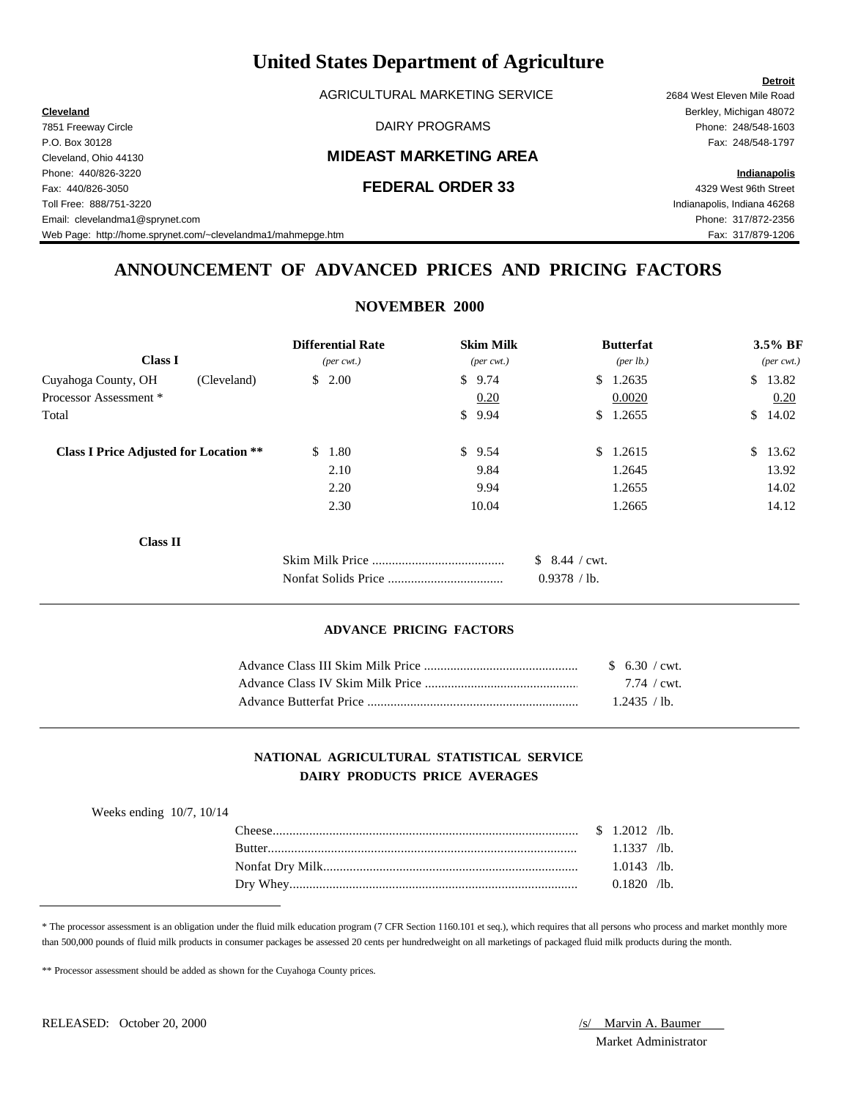AGRICULTURAL MARKETING SERVICE 2684 West Eleven Mile Road

### Cleveland, Ohio 44130 **MIDEAST MARKETING AREA**

Fax: 440/826-3050 **FEDERAL ORDER 33** 4329 West 96th Street Toll Free: 888/751-3220 Indianapolis, Indiana 46268 Email: clevelandma1@sprynet.com Phone: 317/872-2356 Web Page: http://home.sprynet.com/~clevelandma1/mahmepge.htm Fax: 317/879-1206

**Cleveland** Berkley, Michigan 48072 The The Sample of the Case of the DAIRY PROGRAMS The Phone: 248/548-1603 P.O. Box 30128 Fax: 248/548-1797

### Phone: 440/826-3220 **Indianapolis**

**Detroit**

# **ANNOUNCEMENT OF ADVANCED PRICES AND PRICING FACTORS**

# **NOVEMBER 2000**

| <b>Class I</b>                                | <b>Differential Rate</b><br>$(\text{per} \ \text{cvt.})$ | <b>Skim Milk</b><br>$(\text{per} \text{ cwt.})$ | <b>Butterfat</b><br>(per lb.) | 3.5% BF<br>$(\text{per} \text{ cwt.})$ |
|-----------------------------------------------|----------------------------------------------------------|-------------------------------------------------|-------------------------------|----------------------------------------|
| Cuyahoga County, OH                           | \$2.00<br>(Cleveland)                                    | \$9.74                                          | 1.2635<br><sup>S</sup>        | \$13.82                                |
| Processor Assessment *                        |                                                          | 0.20                                            | 0.0020                        | 0.20                                   |
| Total                                         |                                                          | \$9.94                                          | 1.2655<br>\$                  | \$14.02                                |
| <b>Class I Price Adjusted for Location **</b> | 1.80<br>S.                                               | \$9.54                                          | 1.2615<br>$\mathbb{S}^-$      | \$13.62                                |
|                                               | 2.10                                                     | 9.84                                            | 1.2645                        | 13.92                                  |
|                                               | 2.20                                                     | 9.94                                            | 1.2655                        | 14.02                                  |
|                                               | 2.30                                                     | 10.04                                           | 1.2665                        | 14.12                                  |
| <b>Class II</b>                               |                                                          |                                                 |                               |                                        |
|                                               |                                                          |                                                 | $$8.44$ / cwt.                |                                        |
|                                               |                                                          |                                                 | 0.9378 / lb.                  |                                        |

### **ADVANCE PRICING FACTORS**

| $$6.30$ / cwt.      |  |
|---------------------|--|
| $7.74 / \text{cwt}$ |  |
| 1.2435 / lb.        |  |

### **NATIONAL AGRICULTURAL STATISTICAL SERVICE DAIRY PRODUCTS PRICE AVERAGES**

| Weeks ending $10/7$ , $10/14$ |                                   |               |  |
|-------------------------------|-----------------------------------|---------------|--|
|                               | $\cdots$ \$ 1.2012 /b.<br>'heese' |               |  |
|                               | <b>Rutter</b>                     | $1.1337$ /lb. |  |
|                               |                                   | $1.0143$ /lb. |  |
|                               |                                   | $0.1820$ /lb. |  |

\* The processor assessment is an obligation under the fluid milk education program (7 CFR Section 1160.101 et seq.), which requires that all persons who process and market monthly more than 500,000 pounds of fluid milk products in consumer packages be assessed 20 cents per hundredweight on all marketings of packaged fluid milk products during the month.

\*\* Processor assessment should be added as shown for the Cuyahoga County prices.

Market Administrator